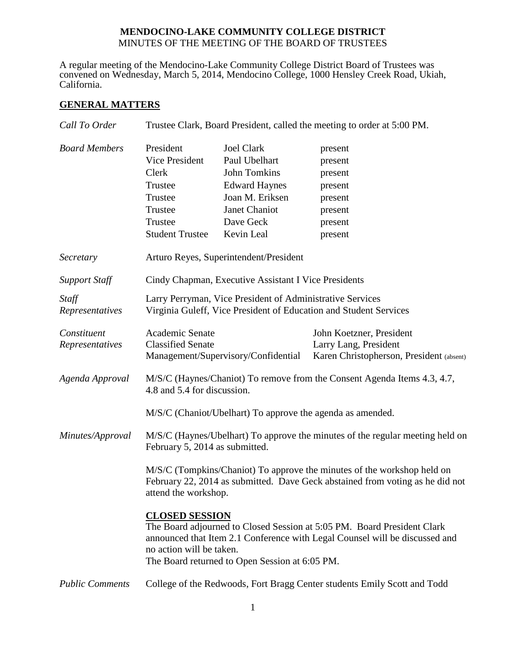# **MENDOCINO-LAKE COMMUNITY COLLEGE DISTRICT** MINUTES OF THE MEETING OF THE BOARD OF TRUSTEES

A regular meeting of the Mendocino-Lake Community College District Board of Trustees was convened on Wednesday, March 5, 2014, Mendocino College, 1000 Hensley Creek Road, Ukiah, California.

# **GENERAL MATTERS**

| Call To Order                  | Trustee Clark, Board President, called the meeting to order at 5:00 PM.                                                                                                                                                                                       |                                                                                                                                                  |                                                                                               |  |
|--------------------------------|---------------------------------------------------------------------------------------------------------------------------------------------------------------------------------------------------------------------------------------------------------------|--------------------------------------------------------------------------------------------------------------------------------------------------|-----------------------------------------------------------------------------------------------|--|
| <b>Board Members</b>           | President<br>Vice President<br>Clerk<br>Trustee<br>Trustee<br>Trustee<br>Trustee<br><b>Student Trustee</b>                                                                                                                                                    | <b>Joel Clark</b><br>Paul Ubelhart<br><b>John Tomkins</b><br><b>Edward Haynes</b><br>Joan M. Eriksen<br>Janet Chaniot<br>Dave Geck<br>Kevin Leal | present<br>present<br>present<br>present<br>present<br>present<br>present<br>present          |  |
| Secretary                      | Arturo Reyes, Superintendent/President                                                                                                                                                                                                                        |                                                                                                                                                  |                                                                                               |  |
| <b>Support Staff</b>           | Cindy Chapman, Executive Assistant I Vice Presidents                                                                                                                                                                                                          |                                                                                                                                                  |                                                                                               |  |
| Staff<br>Representatives       | Larry Perryman, Vice President of Administrative Services<br>Virginia Guleff, Vice President of Education and Student Services                                                                                                                                |                                                                                                                                                  |                                                                                               |  |
| Constituent<br>Representatives | Academic Senate<br><b>Classified Senate</b>                                                                                                                                                                                                                   | Management/Supervisory/Confidential                                                                                                              | John Koetzner, President<br>Larry Lang, President<br>Karen Christopherson, President (absent) |  |
| Agenda Approval                | M/S/C (Haynes/Chaniot) To remove from the Consent Agenda Items 4.3, 4.7,<br>4.8 and 5.4 for discussion.                                                                                                                                                       |                                                                                                                                                  |                                                                                               |  |
|                                | M/S/C (Chaniot/Ubelhart) To approve the agenda as amended.                                                                                                                                                                                                    |                                                                                                                                                  |                                                                                               |  |
| Minutes/Approval               | M/S/C (Haynes/Ubelhart) To approve the minutes of the regular meeting held on<br>February 5, 2014 as submitted.                                                                                                                                               |                                                                                                                                                  |                                                                                               |  |
|                                | M/S/C (Tompkins/Chaniot) To approve the minutes of the workshop held on<br>February 22, 2014 as submitted. Dave Geck abstained from voting as he did not<br>attend the workshop.                                                                              |                                                                                                                                                  |                                                                                               |  |
|                                | <b>CLOSED SESSION</b><br>The Board adjourned to Closed Session at 5:05 PM. Board President Clark<br>announced that Item 2.1 Conference with Legal Counsel will be discussed and<br>no action will be taken.<br>The Board returned to Open Session at 6:05 PM. |                                                                                                                                                  |                                                                                               |  |
| <b>Public Comments</b>         | College of the Redwoods, Fort Bragg Center students Emily Scott and Todd                                                                                                                                                                                      |                                                                                                                                                  |                                                                                               |  |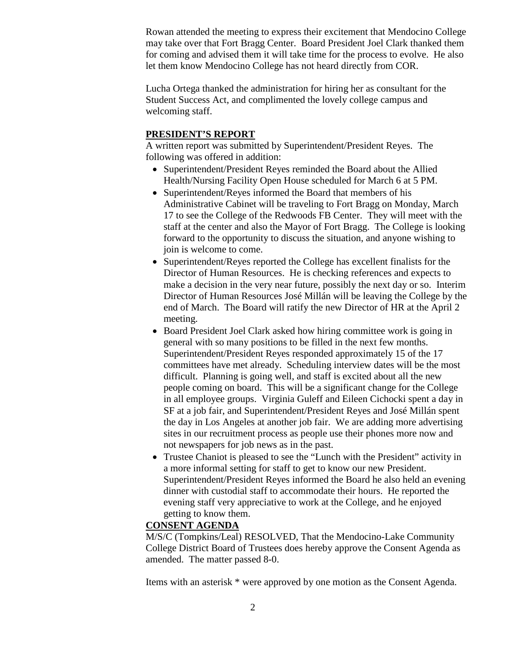Rowan attended the meeting to express their excitement that Mendocino College may take over that Fort Bragg Center. Board President Joel Clark thanked them for coming and advised them it will take time for the process to evolve. He also let them know Mendocino College has not heard directly from COR.

Lucha Ortega thanked the administration for hiring her as consultant for the Student Success Act, and complimented the lovely college campus and welcoming staff.

## **PRESIDENT'S REPORT**

A written report was submitted by Superintendent/President Reyes. The following was offered in addition:

- Superintendent/President Reyes reminded the Board about the Allied Health/Nursing Facility Open House scheduled for March 6 at 5 PM.
- Superintendent/Reyes informed the Board that members of his Administrative Cabinet will be traveling to Fort Bragg on Monday, March 17 to see the College of the Redwoods FB Center. They will meet with the staff at the center and also the Mayor of Fort Bragg. The College is looking forward to the opportunity to discuss the situation, and anyone wishing to join is welcome to come.
- Superintendent/Reyes reported the College has excellent finalists for the Director of Human Resources. He is checking references and expects to make a decision in the very near future, possibly the next day or so. Interim Director of Human Resources José Millán will be leaving the College by the end of March. The Board will ratify the new Director of HR at the April 2 meeting.
- Board President Joel Clark asked how hiring committee work is going in general with so many positions to be filled in the next few months. Superintendent/President Reyes responded approximately 15 of the 17 committees have met already. Scheduling interview dates will be the most difficult. Planning is going well, and staff is excited about all the new people coming on board. This will be a significant change for the College in all employee groups. Virginia Guleff and Eileen Cichocki spent a day in SF at a job fair, and Superintendent/President Reyes and José Millán spent the day in Los Angeles at another job fair. We are adding more advertising sites in our recruitment process as people use their phones more now and not newspapers for job news as in the past.
- Trustee Chaniot is pleased to see the "Lunch with the President" activity in a more informal setting for staff to get to know our new President. Superintendent/President Reyes informed the Board he also held an evening dinner with custodial staff to accommodate their hours. He reported the evening staff very appreciative to work at the College, and he enjoyed getting to know them.

## **CONSENT AGENDA**

M/S/C (Tompkins/Leal) RESOLVED, That the Mendocino-Lake Community College District Board of Trustees does hereby approve the Consent Agenda as amended. The matter passed 8-0.

Items with an asterisk \* were approved by one motion as the Consent Agenda.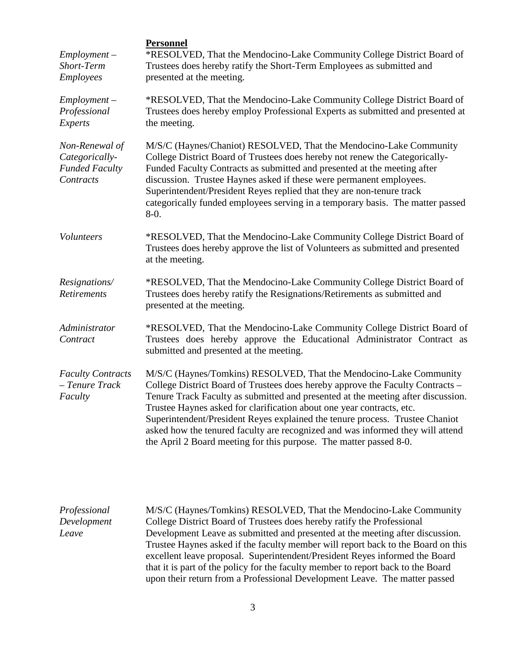| $Employment -$<br>Short-Term<br>Employees                              | <b>Personnel</b><br>*RESOLVED, That the Mendocino-Lake Community College District Board of<br>Trustees does hereby ratify the Short-Term Employees as submitted and<br>presented at the meeting.                                                                                                                                                                                                                                                                                                                                                          |  |  |
|------------------------------------------------------------------------|-----------------------------------------------------------------------------------------------------------------------------------------------------------------------------------------------------------------------------------------------------------------------------------------------------------------------------------------------------------------------------------------------------------------------------------------------------------------------------------------------------------------------------------------------------------|--|--|
| $Employment -$<br>Professional<br>Experts                              | *RESOLVED, That the Mendocino-Lake Community College District Board of<br>Trustees does hereby employ Professional Experts as submitted and presented at<br>the meeting.                                                                                                                                                                                                                                                                                                                                                                                  |  |  |
| Non-Renewal of<br>Categorically-<br><b>Funded Faculty</b><br>Contracts | M/S/C (Haynes/Chaniot) RESOLVED, That the Mendocino-Lake Community<br>College District Board of Trustees does hereby not renew the Categorically-<br>Funded Faculty Contracts as submitted and presented at the meeting after<br>discussion. Trustee Haynes asked if these were permanent employees.<br>Superintendent/President Reyes replied that they are non-tenure track<br>categorically funded employees serving in a temporary basis. The matter passed<br>$8-0.$                                                                                 |  |  |
| Volunteers                                                             | *RESOLVED, That the Mendocino-Lake Community College District Board of<br>Trustees does hereby approve the list of Volunteers as submitted and presented<br>at the meeting.                                                                                                                                                                                                                                                                                                                                                                               |  |  |
| Resignations/<br><b>Retirements</b>                                    | *RESOLVED, That the Mendocino-Lake Community College District Board of<br>Trustees does hereby ratify the Resignations/Retirements as submitted and<br>presented at the meeting.                                                                                                                                                                                                                                                                                                                                                                          |  |  |
| Administrator<br>Contract                                              | *RESOLVED, That the Mendocino-Lake Community College District Board of<br>Trustees does hereby approve the Educational Administrator Contract as<br>submitted and presented at the meeting.                                                                                                                                                                                                                                                                                                                                                               |  |  |
| <b>Faculty Contracts</b><br>- Tenure Track<br>Faculty                  | M/S/C (Haynes/Tomkins) RESOLVED, That the Mendocino-Lake Community<br>College District Board of Trustees does hereby approve the Faculty Contracts -<br>Tenure Track Faculty as submitted and presented at the meeting after discussion.<br>Trustee Haynes asked for clarification about one year contracts, etc.<br>Superintendent/President Reyes explained the tenure process. Trustee Chaniot<br>asked how the tenured faculty are recognized and was informed they will attend<br>the April 2 Board meeting for this purpose. The matter passed 8-0. |  |  |

| Professional | M/S/C (Haynes/Tomkins) RESOLVED, That the Mendocino-Lake Community               |
|--------------|----------------------------------------------------------------------------------|
| Development  | College District Board of Trustees does hereby ratify the Professional           |
| Leave        | Development Leave as submitted and presented at the meeting after discussion.    |
|              | Trustee Haynes asked if the faculty member will report back to the Board on this |
|              | excellent leave proposal. Superintendent/President Reyes informed the Board      |
|              | that it is part of the policy for the faculty member to report back to the Board |
|              | upon their return from a Professional Development Leave. The matter passed       |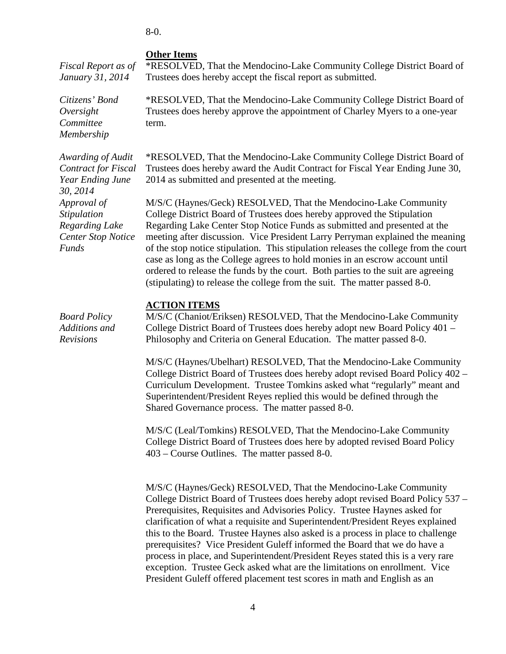8-0.

## **Other Items**

*Fiscal Report as of January 31, 2014* \*RESOLVED, That the Mendocino-Lake Community College District Board of Trustees does hereby accept the fiscal report as submitted.

> \*RESOLVED, That the Mendocino-Lake Community College District Board of Trustees does hereby approve the appointment of Charley Myers to a one-year term.

> \*RESOLVED, That the Mendocino-Lake Community College District Board of Trustees does hereby award the Audit Contract for Fiscal Year Ending June 30, 2014 as submitted and presented at the meeting.

M/S/C (Haynes/Geck) RESOLVED, That the Mendocino-Lake Community College District Board of Trustees does hereby approved the Stipulation Regarding Lake Center Stop Notice Funds as submitted and presented at the meeting after discussion. Vice President Larry Perryman explained the meaning of the stop notice stipulation. This stipulation releases the college from the court case as long as the College agrees to hold monies in an escrow account until ordered to release the funds by the court. Both parties to the suit are agreeing (stipulating) to release the college from the suit. The matter passed 8-0.

#### **ACTION ITEMS**

*Board Policy Additions and Revisions* M/S/C (Chaniot/Eriksen) RESOLVED, That the Mendocino-Lake Community College District Board of Trustees does hereby adopt new Board Policy 401 – Philosophy and Criteria on General Education. The matter passed 8-0.

> M/S/C (Haynes/Ubelhart) RESOLVED, That the Mendocino-Lake Community College District Board of Trustees does hereby adopt revised Board Policy 402 – Curriculum Development. Trustee Tomkins asked what "regularly" meant and Superintendent/President Reyes replied this would be defined through the Shared Governance process. The matter passed 8-0.

M/S/C (Leal/Tomkins) RESOLVED, That the Mendocino-Lake Community College District Board of Trustees does here by adopted revised Board Policy 403 – Course Outlines. The matter passed 8-0.

M/S/C (Haynes/Geck) RESOLVED, That the Mendocino-Lake Community College District Board of Trustees does hereby adopt revised Board Policy 537 – Prerequisites, Requisites and Advisories Policy. Trustee Haynes asked for clarification of what a requisite and Superintendent/President Reyes explained this to the Board. Trustee Haynes also asked is a process in place to challenge prerequisites? Vice President Guleff informed the Board that we do have a process in place, and Superintendent/President Reyes stated this is a very rare exception. Trustee Geck asked what are the limitations on enrollment. Vice President Guleff offered placement test scores in math and English as an

*Awarding of Audit Contract for Fiscal Year Ending June 30, 2014 Approval of Stipulation Regarding Lake Center Stop Notice Funds*

*Citizens' Bond Oversight Committee Membership*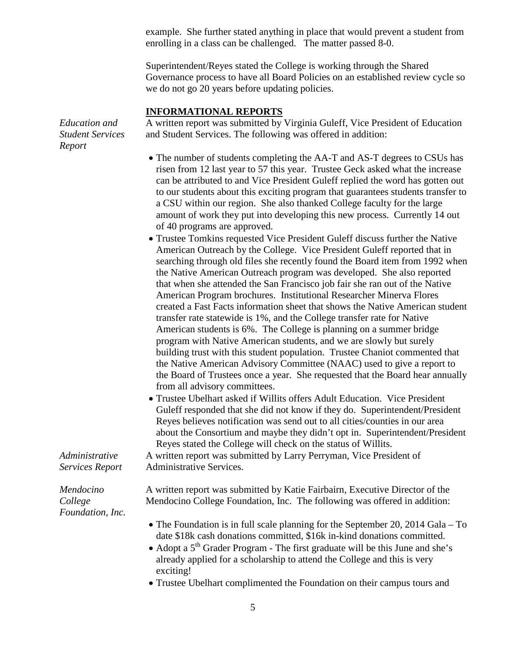example. She further stated anything in place that would prevent a student from enrolling in a class can be challenged. The matter passed 8-0.

Superintendent/Reyes stated the College is working through the Shared Governance process to have all Board Policies on an established review cycle so we do not go 20 years before updating policies.

## **INFORMATIONAL REPORTS**

*Education and Student Services Report*

A written report was submitted by Virginia Guleff, Vice President of Education and Student Services. The following was offered in addition:

- The number of students completing the AA-T and AS-T degrees to CSUs has risen from 12 last year to 57 this year. Trustee Geck asked what the increase can be attributed to and Vice President Guleff replied the word has gotten out to our students about this exciting program that guarantees students transfer to a CSU within our region. She also thanked College faculty for the large amount of work they put into developing this new process. Currently 14 out of 40 programs are approved.
- Trustee Tomkins requested Vice President Guleff discuss further the Native American Outreach by the College. Vice President Guleff reported that in searching through old files she recently found the Board item from 1992 when the Native American Outreach program was developed. She also reported that when she attended the San Francisco job fair she ran out of the Native American Program brochures. Institutional Researcher Minerva Flores created a Fast Facts information sheet that shows the Native American student transfer rate statewide is 1%, and the College transfer rate for Native American students is 6%. The College is planning on a summer bridge program with Native American students, and we are slowly but surely building trust with this student population. Trustee Chaniot commented that the Native American Advisory Committee (NAAC) used to give a report to the Board of Trustees once a year. She requested that the Board hear annually from all advisory committees.
- Trustee Ubelhart asked if Willits offers Adult Education. Vice President Guleff responded that she did not know if they do. Superintendent/President Reyes believes notification was send out to all cities/counties in our area about the Consortium and maybe they didn't opt in. Superintendent/President Reyes stated the College will check on the status of Willits.

A written report was submitted by Larry Perryman, Vice President of Administrative Services.

*Administrative Services Report*

*Mendocino College Foundation, Inc.* A written report was submitted by Katie Fairbairn, Executive Director of the Mendocino College Foundation, Inc. The following was offered in addition:

- The Foundation is in full scale planning for the September 20, 2014 Gala To date \$18k cash donations committed, \$16k in-kind donations committed.
- Adopt a  $5<sup>th</sup>$  Grader Program The first graduate will be this June and she's already applied for a scholarship to attend the College and this is very exciting!
- Trustee Ubelhart complimented the Foundation on their campus tours and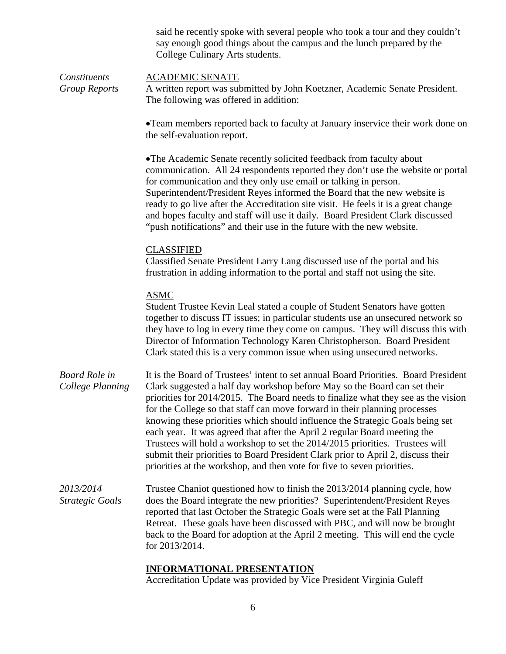| said he recently spoke with several people who took a tour and they couldn't |
|------------------------------------------------------------------------------|
| say enough good things about the campus and the lunch prepared by the        |
| College Culinary Arts students.                                              |

| Constituents  | <b>ACADEMIC SENATE</b>                                                      |
|---------------|-----------------------------------------------------------------------------|
| Group Reports | A written report was submitted by John Koetzner, Academic Senate President. |
|               | The following was offered in addition:                                      |

•Team members reported back to faculty at January inservice their work done on the self-evaluation report.

•The Academic Senate recently solicited feedback from faculty about communication. All 24 respondents reported they don't use the website or portal for communication and they only use email or talking in person. Superintendent/President Reyes informed the Board that the new website is ready to go live after the Accreditation site visit. He feels it is a great change and hopes faculty and staff will use it daily. Board President Clark discussed "push notifications" and their use in the future with the new website.

#### CLASSIFIED

Classified Senate President Larry Lang discussed use of the portal and his frustration in adding information to the portal and staff not using the site.

#### ASMC

Student Trustee Kevin Leal stated a couple of Student Senators have gotten together to discuss IT issues; in particular students use an unsecured network so they have to log in every time they come on campus. They will discuss this with Director of Information Technology Karen Christopherson. Board President Clark stated this is a very common issue when using unsecured networks.

*Board Role in College Planning* It is the Board of Trustees' intent to set annual Board Priorities. Board President Clark suggested a half day workshop before May so the Board can set their priorities for 2014/2015. The Board needs to finalize what they see as the vision for the College so that staff can move forward in their planning processes knowing these priorities which should influence the Strategic Goals being set each year. It was agreed that after the April 2 regular Board meeting the Trustees will hold a workshop to set the 2014/2015 priorities. Trustees will submit their priorities to Board President Clark prior to April 2, discuss their priorities at the workshop, and then vote for five to seven priorities.

*2013/2014 Strategic Goals* Trustee Chaniot questioned how to finish the 2013/2014 planning cycle, how does the Board integrate the new priorities? Superintendent/President Reyes reported that last October the Strategic Goals were set at the Fall Planning Retreat. These goals have been discussed with PBC, and will now be brought back to the Board for adoption at the April 2 meeting. This will end the cycle for 2013/2014.

#### **INFORMATIONAL PRESENTATION**

Accreditation Update was provided by Vice President Virginia Guleff